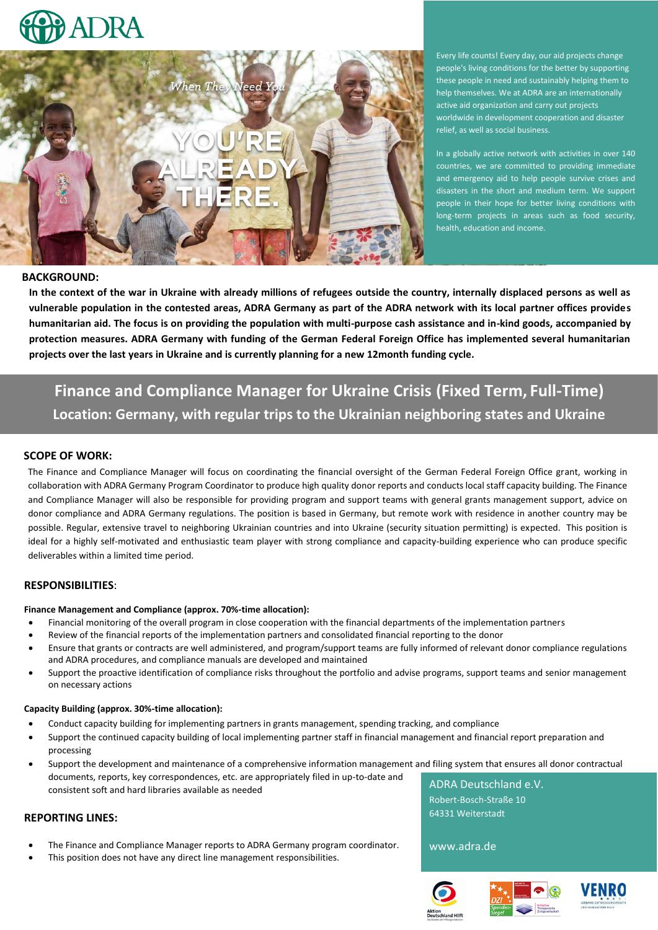



Every life counts! Every day, our aid projects change people's living conditions for the better by supporting these people in need and sustainably helping them to help themselves. We at ADRA are an internationally active aid organization and carry out projects worldwide in development cooperation and disaster relief, as well as social business.

In a globally active network with activities in over 140 countries, we are committed to providing immediate and emergency aid to help people survive crises and disasters in the short and medium term. We support people in their hope for better living conditions with long-term projects in areas such as food security, health, education and income.

#### **BACKGROUND:**

**In the context of the war in Ukraine with already millions of refugees outside the country, internally displaced persons as well as vulnerable population in the contested areas, ADRA Germany as part of the ADRA network with its local partner offices provides humanitarian aid. The focus is on providing the population with multi-purpose cash assistance and in-kind goods, accompanied by protection measures. ADRA Germany with funding of the German Federal Foreign Office has implemented several humanitarian projects over the last years in Ukraine and is currently planning for a new 12month funding cycle.**

# **Finance and Compliance Manager for Ukraine Crisis (Fixed Term, Full-Time) Location: Germany, with regular trips to the Ukrainian neighboring states and Ukraine**

#### **SCOPE OF WORK:**

The Finance and Compliance Manager will focus on coordinating the financial oversight of the German Federal Foreign Office grant, working in collaboration with ADRA Germany Program Coordinator to produce high quality donor reports and conducts local staff capacity building. The Finance and Compliance Manager will also be responsible for providing program and support teams with general grants management support, advice on donor compliance and ADRA Germany regulations. The position is based in Germany, but remote work with residence in another country may be possible. Regular, extensive travel to neighboring Ukrainian countries and into Ukraine (security situation permitting) is expected. This position is ideal for a highly self-motivated and enthusiastic team player with strong compliance and capacity-building experience who can produce specific deliverables within a limited time period.

#### **RESPONSIBILITIES**:

#### **Finance Management and Compliance (approx. 70%-time allocation):**

- Financial monitoring of the overall program in close cooperation with the financial departments of the implementation partners
- Review of the financial reports of the implementation partners and consolidated financial reporting to the donor
- Ensure that grants or contracts are well administered, and program/support teams are fully informed of relevant donor compliance regulations and ADRA procedures, and compliance manuals are developed and maintained
- Support the proactive identification of compliance risks throughout the portfolio and advise programs, support teams and senior management on necessary actions

#### **Capacity Building (approx. 30%-time allocation):**

- Conduct capacity building for implementing partners in grants management, spending tracking, and compliance
- Support the continued capacity building of local implementing partner staff in financial management and financial report preparation and processing
- Support the development and maintenance of a comprehensive information management and filing system that ensures all donor contractual documents, reports, key correspondences, etc. are appropriately filed in up-to-date and consistent soft and hard libraries available as needed ADRA Deutschland e.V.

## **REPORTING LINES:**

- The Finance and Compliance Manager reports to ADRA Germany program coordinator.
- This position does not have any direct line management responsibilities.

Robert-Bosch-Straße 10 64331 Weiterstadt

www.adra.de